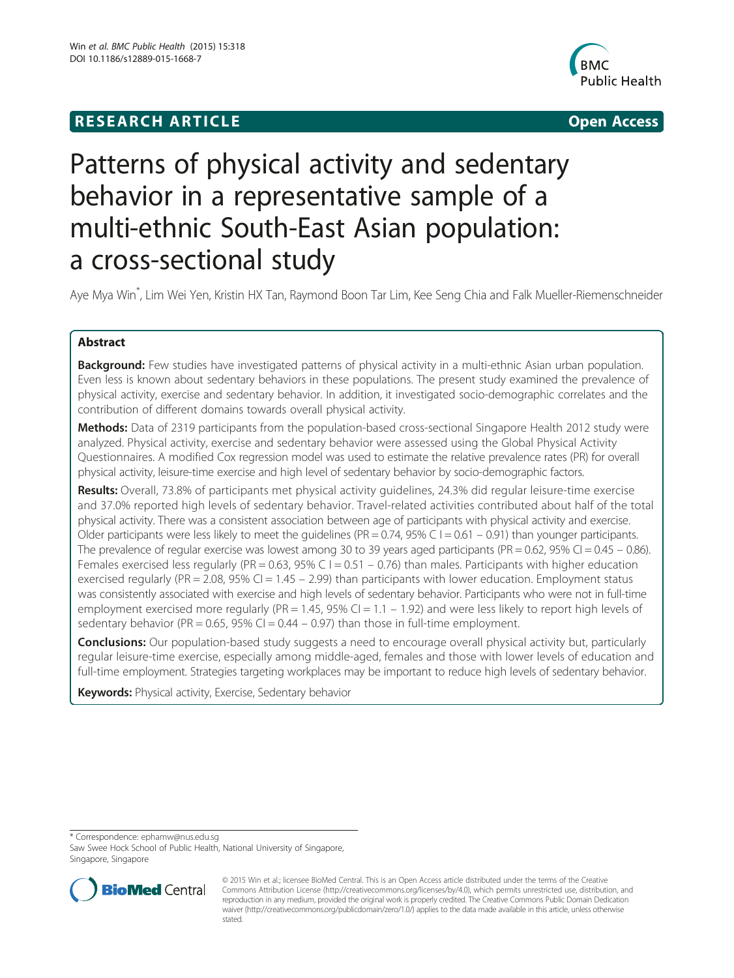## **RESEARCH ARTICLE Example 2014 CONSIDERING CONSIDERING CONSIDERING CONSIDERING CONSIDERING CONSIDERING CONSIDERING CONSIDERING CONSIDERING CONSIDERING CONSIDERING CONSIDERING CONSIDERING CONSIDERING CONSIDERING CONSIDE**



# Patterns of physical activity and sedentary behavior in a representative sample of a multi-ethnic South-East Asian population: a cross-sectional study

Aye Mya Win\* , Lim Wei Yen, Kristin HX Tan, Raymond Boon Tar Lim, Kee Seng Chia and Falk Mueller-Riemenschneider

## Abstract

Background: Few studies have investigated patterns of physical activity in a multi-ethnic Asian urban population. Even less is known about sedentary behaviors in these populations. The present study examined the prevalence of physical activity, exercise and sedentary behavior. In addition, it investigated socio-demographic correlates and the contribution of different domains towards overall physical activity.

Methods: Data of 2319 participants from the population-based cross-sectional Singapore Health 2012 study were analyzed. Physical activity, exercise and sedentary behavior were assessed using the Global Physical Activity Questionnaires. A modified Cox regression model was used to estimate the relative prevalence rates (PR) for overall physical activity, leisure-time exercise and high level of sedentary behavior by socio-demographic factors.

Results: Overall, 73.8% of participants met physical activity guidelines, 24.3% did regular leisure-time exercise and 37.0% reported high levels of sedentary behavior. Travel-related activities contributed about half of the total physical activity. There was a consistent association between age of participants with physical activity and exercise. Older participants were less likely to meet the quidelines (PR = 0.74, 95% C I = 0.61 – 0.91) than younger participants. The prevalence of regular exercise was lowest among 30 to 39 years aged participants ( $PR = 0.62$ ,  $95\%$  CI = 0.45 – 0.86). Females exercised less regularly (PR = 0.63, 95% C I = 0.51 – 0.76) than males. Participants with higher education exercised regularly (PR = 2.08, 95% CI = 1.45 – 2.99) than participants with lower education. Employment status was consistently associated with exercise and high levels of sedentary behavior. Participants who were not in full-time employment exercised more regularly (PR = 1.45, 95% CI = 1.1 – 1.92) and were less likely to report high levels of sedentary behavior (PR = 0.65, 95% CI = 0.44 - 0.97) than those in full-time employment.

**Conclusions:** Our population-based study suggests a need to encourage overall physical activity but, particularly regular leisure-time exercise, especially among middle-aged, females and those with lower levels of education and full-time employment. Strategies targeting workplaces may be important to reduce high levels of sedentary behavior.

Keywords: Physical activity, Exercise, Sedentary behavior

\* Correspondence: [ephamw@nus.edu.sg](mailto:ephamw@nus.edu.sg)

Saw Swee Hock School of Public Health, National University of Singapore, Singapore, Singapore



<sup>© 2015</sup> Win et al.; licensee BioMed Central. This is an Open Access article distributed under the terms of the Creative Commons Attribution License [\(http://creativecommons.org/licenses/by/4.0\)](http://creativecommons.org/licenses/by/4.0), which permits unrestricted use, distribution, and reproduction in any medium, provided the original work is properly credited. The Creative Commons Public Domain Dedication waiver ([http://creativecommons.org/publicdomain/zero/1.0/\)](http://creativecommons.org/publicdomain/zero/1.0/) applies to the data made available in this article, unless otherwise stated.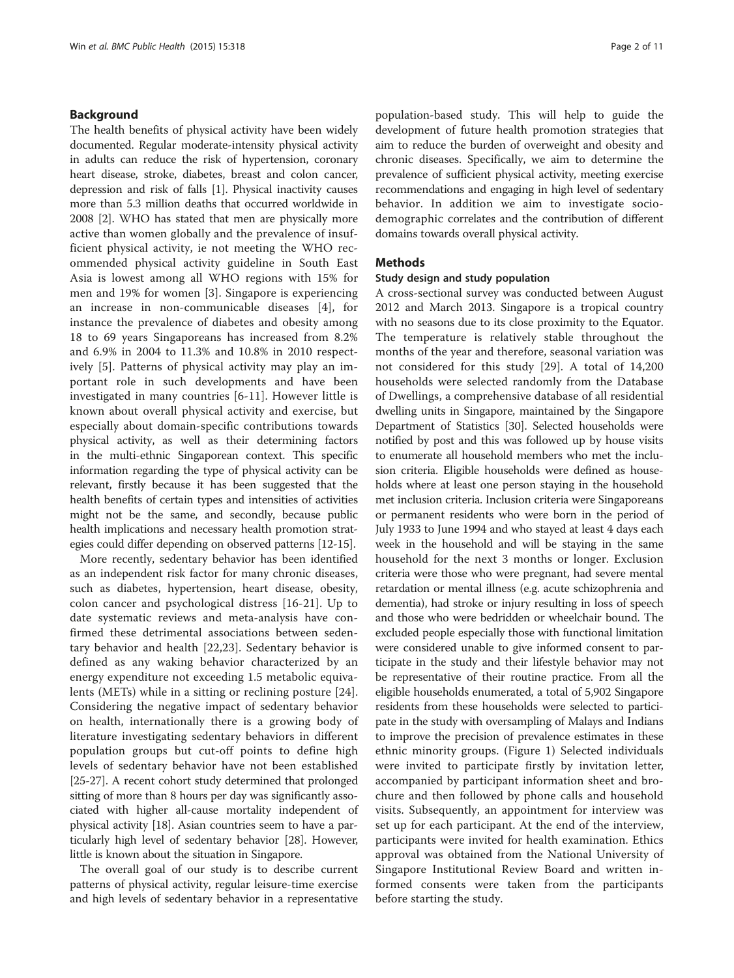## Background

The health benefits of physical activity have been widely documented. Regular moderate-intensity physical activity in adults can reduce the risk of hypertension, coronary heart disease, stroke, diabetes, breast and colon cancer, depression and risk of falls [[1\]](#page-9-0). Physical inactivity causes more than 5.3 million deaths that occurred worldwide in 2008 [[2\]](#page-9-0). WHO has stated that men are physically more active than women globally and the prevalence of insufficient physical activity, ie not meeting the WHO recommended physical activity guideline in South East Asia is lowest among all WHO regions with 15% for men and 19% for women [\[3](#page-9-0)]. Singapore is experiencing an increase in non-communicable diseases [\[4](#page-9-0)], for instance the prevalence of diabetes and obesity among 18 to 69 years Singaporeans has increased from 8.2% and 6.9% in 2004 to 11.3% and 10.8% in 2010 respectively [[5\]](#page-9-0). Patterns of physical activity may play an important role in such developments and have been investigated in many countries [[6](#page-9-0)-[11\]](#page-9-0). However little is known about overall physical activity and exercise, but especially about domain-specific contributions towards physical activity, as well as their determining factors in the multi-ethnic Singaporean context. This specific information regarding the type of physical activity can be relevant, firstly because it has been suggested that the health benefits of certain types and intensities of activities might not be the same, and secondly, because public health implications and necessary health promotion strategies could differ depending on observed patterns [[12](#page-9-0)-[15\]](#page-9-0).

More recently, sedentary behavior has been identified as an independent risk factor for many chronic diseases, such as diabetes, hypertension, heart disease, obesity, colon cancer and psychological distress [\[16](#page-9-0)-[21](#page-9-0)]. Up to date systematic reviews and meta-analysis have confirmed these detrimental associations between sedentary behavior and health [\[22,23](#page-9-0)]. Sedentary behavior is defined as any waking behavior characterized by an energy expenditure not exceeding 1.5 metabolic equivalents (METs) while in a sitting or reclining posture [\[24](#page-9-0)]. Considering the negative impact of sedentary behavior on health, internationally there is a growing body of literature investigating sedentary behaviors in different population groups but cut-off points to define high levels of sedentary behavior have not been established [[25](#page-9-0)-[27](#page-9-0)]. A recent cohort study determined that prolonged sitting of more than 8 hours per day was significantly associated with higher all-cause mortality independent of physical activity [\[18](#page-9-0)]. Asian countries seem to have a particularly high level of sedentary behavior [\[28\]](#page-9-0). However, little is known about the situation in Singapore.

The overall goal of our study is to describe current patterns of physical activity, regular leisure-time exercise and high levels of sedentary behavior in a representative population-based study. This will help to guide the development of future health promotion strategies that aim to reduce the burden of overweight and obesity and chronic diseases. Specifically, we aim to determine the prevalence of sufficient physical activity, meeting exercise recommendations and engaging in high level of sedentary behavior. In addition we aim to investigate sociodemographic correlates and the contribution of different domains towards overall physical activity.

#### Methods

#### Study design and study population

A cross-sectional survey was conducted between August 2012 and March 2013. Singapore is a tropical country with no seasons due to its close proximity to the Equator. The temperature is relatively stable throughout the months of the year and therefore, seasonal variation was not considered for this study [[29\]](#page-9-0). A total of 14,200 households were selected randomly from the Database of Dwellings, a comprehensive database of all residential dwelling units in Singapore, maintained by the Singapore Department of Statistics [[30\]](#page-9-0). Selected households were notified by post and this was followed up by house visits to enumerate all household members who met the inclusion criteria. Eligible households were defined as households where at least one person staying in the household met inclusion criteria. Inclusion criteria were Singaporeans or permanent residents who were born in the period of July 1933 to June 1994 and who stayed at least 4 days each week in the household and will be staying in the same household for the next 3 months or longer. Exclusion criteria were those who were pregnant, had severe mental retardation or mental illness (e.g. acute schizophrenia and dementia), had stroke or injury resulting in loss of speech and those who were bedridden or wheelchair bound. The excluded people especially those with functional limitation were considered unable to give informed consent to participate in the study and their lifestyle behavior may not be representative of their routine practice. From all the eligible households enumerated, a total of 5,902 Singapore residents from these households were selected to participate in the study with oversampling of Malays and Indians to improve the precision of prevalence estimates in these ethnic minority groups. (Figure [1\)](#page-2-0) Selected individuals were invited to participate firstly by invitation letter, accompanied by participant information sheet and brochure and then followed by phone calls and household visits. Subsequently, an appointment for interview was set up for each participant. At the end of the interview, participants were invited for health examination. Ethics approval was obtained from the National University of Singapore Institutional Review Board and written informed consents were taken from the participants before starting the study.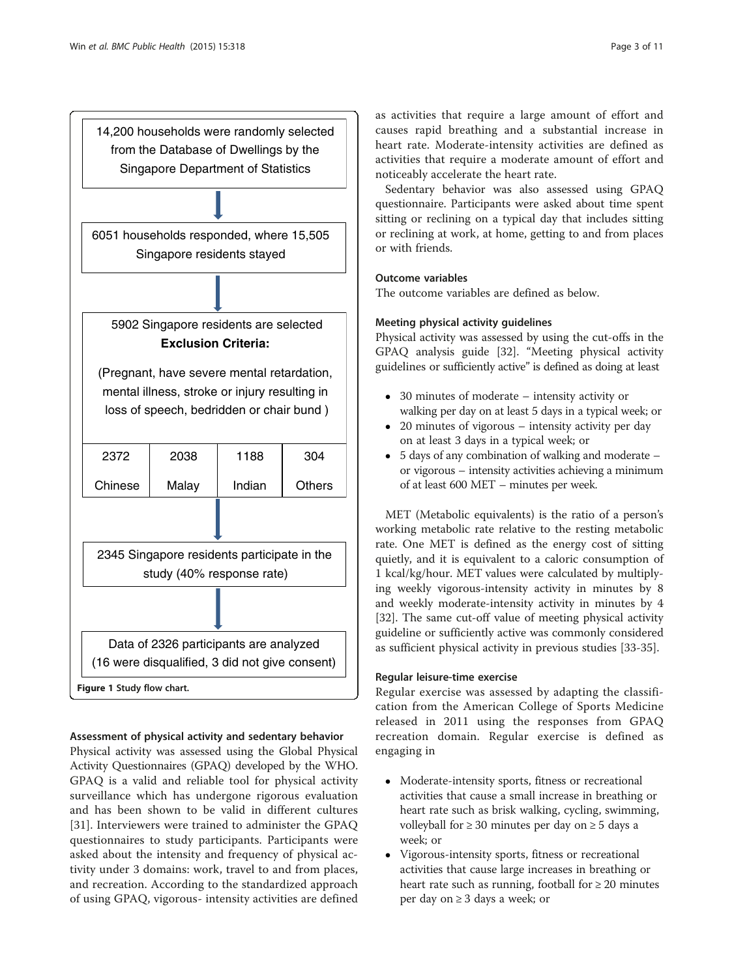<span id="page-2-0"></span>

## Assessment of physical activity and sedentary behavior

Physical activity was assessed using the Global Physical Activity Questionnaires (GPAQ) developed by the WHO. GPAQ is a valid and reliable tool for physical activity surveillance which has undergone rigorous evaluation and has been shown to be valid in different cultures [[31\]](#page-9-0). Interviewers were trained to administer the GPAQ questionnaires to study participants. Participants were asked about the intensity and frequency of physical activity under 3 domains: work, travel to and from places, and recreation. According to the standardized approach of using GPAQ, vigorous- intensity activities are defined as activities that require a large amount of effort and causes rapid breathing and a substantial increase in heart rate. Moderate-intensity activities are defined as activities that require a moderate amount of effort and noticeably accelerate the heart rate.

Sedentary behavior was also assessed using GPAQ questionnaire. Participants were asked about time spent sitting or reclining on a typical day that includes sitting or reclining at work, at home, getting to and from places or with friends.

## Outcome variables

The outcome variables are defined as below.

## Meeting physical activity guidelines

Physical activity was assessed by using the cut-offs in the GPAQ analysis guide [\[32](#page-9-0)]. "Meeting physical activity guidelines or sufficiently active" is defined as doing at least

- 30 minutes of moderate intensity activity or walking per day on at least 5 days in a typical week; or
- 20 minutes of vigorous intensity activity per day on at least 3 days in a typical week; or
- 5 days of any combination of walking and moderate or vigorous – intensity activities achieving a minimum of at least 600 MET – minutes per week.

MET (Metabolic equivalents) is the ratio of a person's working metabolic rate relative to the resting metabolic rate. One MET is defined as the energy cost of sitting quietly, and it is equivalent to a caloric consumption of 1 kcal/kg/hour. MET values were calculated by multiplying weekly vigorous-intensity activity in minutes by 8 and weekly moderate-intensity activity in minutes by 4 [[32\]](#page-9-0). The same cut-off value of meeting physical activity guideline or sufficiently active was commonly considered as sufficient physical activity in previous studies [[33-35\]](#page-9-0).

## Regular leisure-time exercise

Regular exercise was assessed by adapting the classification from the American College of Sports Medicine released in 2011 using the responses from GPAQ recreation domain. Regular exercise is defined as engaging in

- Moderate-intensity sports, fitness or recreational activities that cause a small increase in breathing or heart rate such as brisk walking, cycling, swimming, volleyball for ≥ 30 minutes per day on ≥ 5 days a week; or
- Vigorous-intensity sports, fitness or recreational activities that cause large increases in breathing or heart rate such as running, football for  $\geq 20$  minutes per day on ≥ 3 days a week; or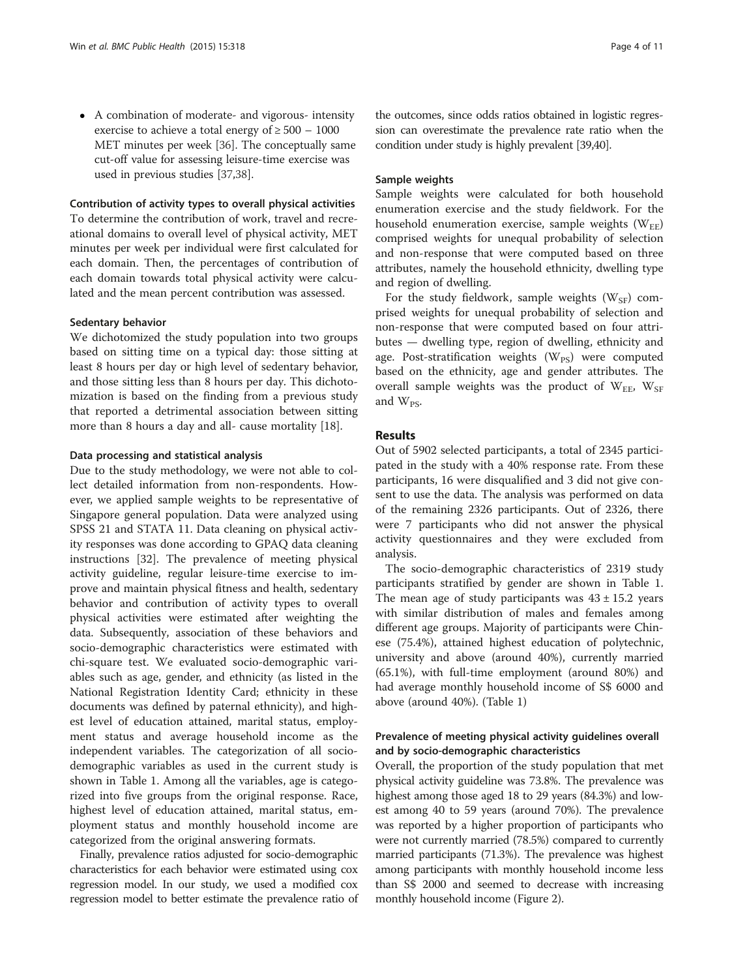A combination of moderate- and vigorous- intensity exercise to achieve a total energy of  $\geq 500 - 1000$ MET minutes per week [[36\]](#page-9-0). The conceptually same cut-off value for assessing leisure-time exercise was used in previous studies [\[37,38\]](#page-9-0).

Contribution of activity types to overall physical activities

To determine the contribution of work, travel and recreational domains to overall level of physical activity, MET minutes per week per individual were first calculated for each domain. Then, the percentages of contribution of each domain towards total physical activity were calculated and the mean percent contribution was assessed.

#### Sedentary behavior

We dichotomized the study population into two groups based on sitting time on a typical day: those sitting at least 8 hours per day or high level of sedentary behavior, and those sitting less than 8 hours per day. This dichotomization is based on the finding from a previous study that reported a detrimental association between sitting more than 8 hours a day and all- cause mortality [\[18\]](#page-9-0).

#### Data processing and statistical analysis

Due to the study methodology, we were not able to collect detailed information from non-respondents. However, we applied sample weights to be representative of Singapore general population. Data were analyzed using SPSS 21 and STATA 11. Data cleaning on physical activity responses was done according to GPAQ data cleaning instructions [[32\]](#page-9-0). The prevalence of meeting physical activity guideline, regular leisure-time exercise to improve and maintain physical fitness and health, sedentary behavior and contribution of activity types to overall physical activities were estimated after weighting the data. Subsequently, association of these behaviors and socio-demographic characteristics were estimated with chi-square test. We evaluated socio-demographic variables such as age, gender, and ethnicity (as listed in the National Registration Identity Card; ethnicity in these documents was defined by paternal ethnicity), and highest level of education attained, marital status, employment status and average household income as the independent variables. The categorization of all sociodemographic variables as used in the current study is shown in Table [1](#page-4-0). Among all the variables, age is categorized into five groups from the original response. Race, highest level of education attained, marital status, employment status and monthly household income are categorized from the original answering formats.

Finally, prevalence ratios adjusted for socio-demographic characteristics for each behavior were estimated using cox regression model. In our study, we used a modified cox regression model to better estimate the prevalence ratio of

the outcomes, since odds ratios obtained in logistic regression can overestimate the prevalence rate ratio when the condition under study is highly prevalent [[39,40](#page-9-0)].

## Sample weights

Sample weights were calculated for both household enumeration exercise and the study fieldwork. For the household enumeration exercise, sample weights  $(W_{EF})$ comprised weights for unequal probability of selection and non-response that were computed based on three attributes, namely the household ethnicity, dwelling type and region of dwelling.

For the study fieldwork, sample weights  $(W_{SF})$  comprised weights for unequal probability of selection and non-response that were computed based on four attributes — dwelling type, region of dwelling, ethnicity and age. Post-stratification weights  $(W_{PS})$  were computed based on the ethnicity, age and gender attributes. The overall sample weights was the product of  $W_{EE}$ ,  $W_{SF}$ and  $W_{PS}$ .

## Results

Out of 5902 selected participants, a total of 2345 participated in the study with a 40% response rate. From these participants, 16 were disqualified and 3 did not give consent to use the data. The analysis was performed on data of the remaining 2326 participants. Out of 2326, there were 7 participants who did not answer the physical activity questionnaires and they were excluded from analysis.

The socio-demographic characteristics of 2319 study participants stratified by gender are shown in Table [1](#page-4-0). The mean age of study participants was  $43 \pm 15.2$  years with similar distribution of males and females among different age groups. Majority of participants were Chinese (75.4%), attained highest education of polytechnic, university and above (around 40%), currently married (65.1%), with full-time employment (around 80%) and had average monthly household income of S\$ 6000 and above (around 40%). (Table [1\)](#page-4-0)

## Prevalence of meeting physical activity guidelines overall and by socio-demographic characteristics

Overall, the proportion of the study population that met physical activity guideline was 73.8%. The prevalence was highest among those aged 18 to 29 years (84.3%) and lowest among 40 to 59 years (around 70%). The prevalence was reported by a higher proportion of participants who were not currently married (78.5%) compared to currently married participants (71.3%). The prevalence was highest among participants with monthly household income less than S\$ 2000 and seemed to decrease with increasing monthly household income (Figure [2\)](#page-5-0).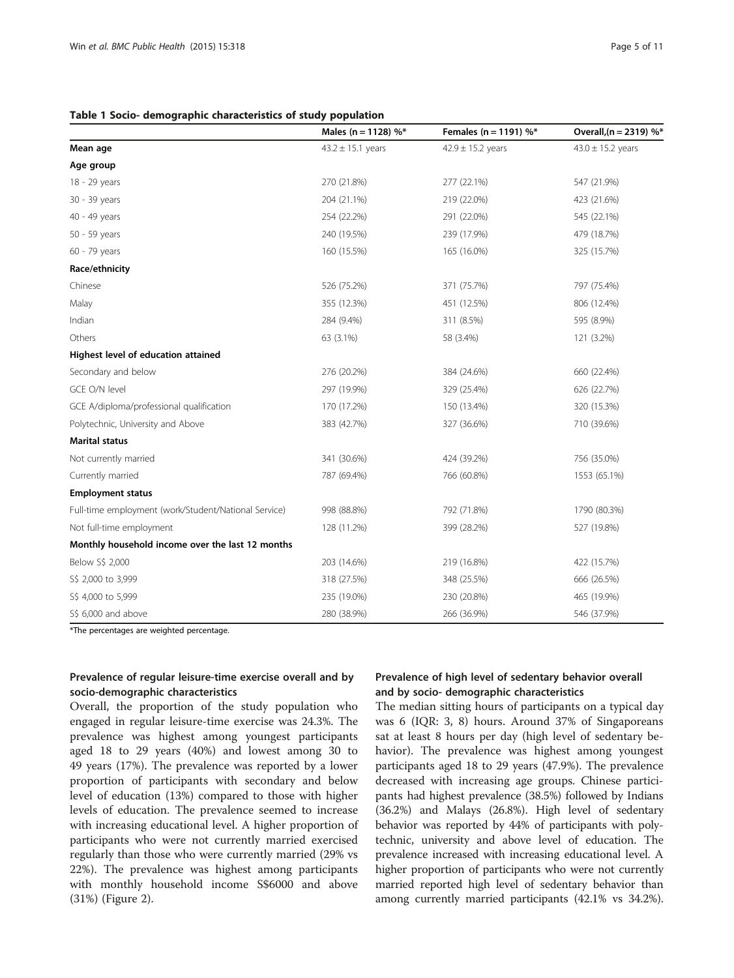#### <span id="page-4-0"></span>Table 1 Socio- demographic characteristics of study population

|                                                      | Males (n = 1128) %*   | Females (n = 1191) %* | Overall, $(n = 2319)$ %*<br>$43.0 \pm 15.2$ years |  |
|------------------------------------------------------|-----------------------|-----------------------|---------------------------------------------------|--|
| Mean age                                             | $43.2 \pm 15.1$ years | $42.9 \pm 15.2$ years |                                                   |  |
| Age group                                            |                       |                       |                                                   |  |
| 18 - 29 years                                        | 270 (21.8%)           | 277 (22.1%)           | 547 (21.9%)                                       |  |
| 30 - 39 years                                        | 204 (21.1%)           | 219 (22.0%)           | 423 (21.6%)                                       |  |
| 40 - 49 years                                        | 254 (22.2%)           | 291 (22.0%)           | 545 (22.1%)                                       |  |
| 50 - 59 years                                        | 240 (19.5%)           | 239 (17.9%)           | 479 (18.7%)                                       |  |
| 60 - 79 years                                        | 160 (15.5%)           | 165 (16.0%)           | 325 (15.7%)                                       |  |
| Race/ethnicity                                       |                       |                       |                                                   |  |
| Chinese                                              | 526 (75.2%)           | 371 (75.7%)           | 797 (75.4%)                                       |  |
| Malay                                                | 355 (12.3%)           | 451 (12.5%)           | 806 (12.4%)                                       |  |
| Indian                                               | 284 (9.4%)            | 311 (8.5%)            | 595 (8.9%)                                        |  |
| Others                                               | 63 (3.1%)             | 58 (3.4%)             | 121 (3.2%)                                        |  |
| Highest level of education attained                  |                       |                       |                                                   |  |
| Secondary and below                                  | 276 (20.2%)           | 384 (24.6%)           | 660 (22.4%)                                       |  |
| GCE O/N level                                        | 297 (19.9%)           | 329 (25.4%)           | 626 (22.7%)                                       |  |
| GCE A/diploma/professional qualification             | 170 (17.2%)           | 150 (13.4%)           | 320 (15.3%)                                       |  |
| Polytechnic, University and Above                    | 383 (42.7%)           | 327 (36.6%)           | 710 (39.6%)                                       |  |
| <b>Marital status</b>                                |                       |                       |                                                   |  |
| Not currently married                                | 341 (30.6%)           | 424 (39.2%)           | 756 (35.0%)                                       |  |
| Currently married                                    | 787 (69.4%)           | 766 (60.8%)           | 1553 (65.1%)                                      |  |
| <b>Employment status</b>                             |                       |                       |                                                   |  |
| Full-time employment (work/Student/National Service) | 998 (88.8%)           | 792 (71.8%)           | 1790 (80.3%)                                      |  |
| Not full-time employment                             | 128 (11.2%)           | 399 (28.2%)           | 527 (19.8%)                                       |  |
| Monthly household income over the last 12 months     |                       |                       |                                                   |  |
| Below S\$ 2,000                                      | 203 (14.6%)           | 219 (16.8%)           | 422 (15.7%)                                       |  |
| S\$ 2,000 to 3,999                                   | 318 (27.5%)           | 348 (25.5%)           | 666 (26.5%)                                       |  |
| S\$ 4,000 to 5,999                                   | 235 (19.0%)           | 230 (20.8%)           | 465 (19.9%)                                       |  |
| S\$ 6,000 and above                                  | 280 (38.9%)           | 266 (36.9%)           | 546 (37.9%)                                       |  |

\*The percentages are weighted percentage.

## Prevalence of regular leisure-time exercise overall and by socio-demographic characteristics

Overall, the proportion of the study population who engaged in regular leisure-time exercise was 24.3%. The prevalence was highest among youngest participants aged 18 to 29 years (40%) and lowest among 30 to 49 years (17%). The prevalence was reported by a lower proportion of participants with secondary and below level of education (13%) compared to those with higher levels of education. The prevalence seemed to increase with increasing educational level. A higher proportion of participants who were not currently married exercised regularly than those who were currently married (29% vs 22%). The prevalence was highest among participants with monthly household income S\$6000 and above (31%) (Figure [2](#page-5-0)).

## Prevalence of high level of sedentary behavior overall and by socio- demographic characteristics

The median sitting hours of participants on a typical day was 6 (IQR: 3, 8) hours. Around 37% of Singaporeans sat at least 8 hours per day (high level of sedentary behavior). The prevalence was highest among youngest participants aged 18 to 29 years (47.9%). The prevalence decreased with increasing age groups. Chinese participants had highest prevalence (38.5%) followed by Indians (36.2%) and Malays (26.8%). High level of sedentary behavior was reported by 44% of participants with polytechnic, university and above level of education. The prevalence increased with increasing educational level. A higher proportion of participants who were not currently married reported high level of sedentary behavior than among currently married participants (42.1% vs 34.2%).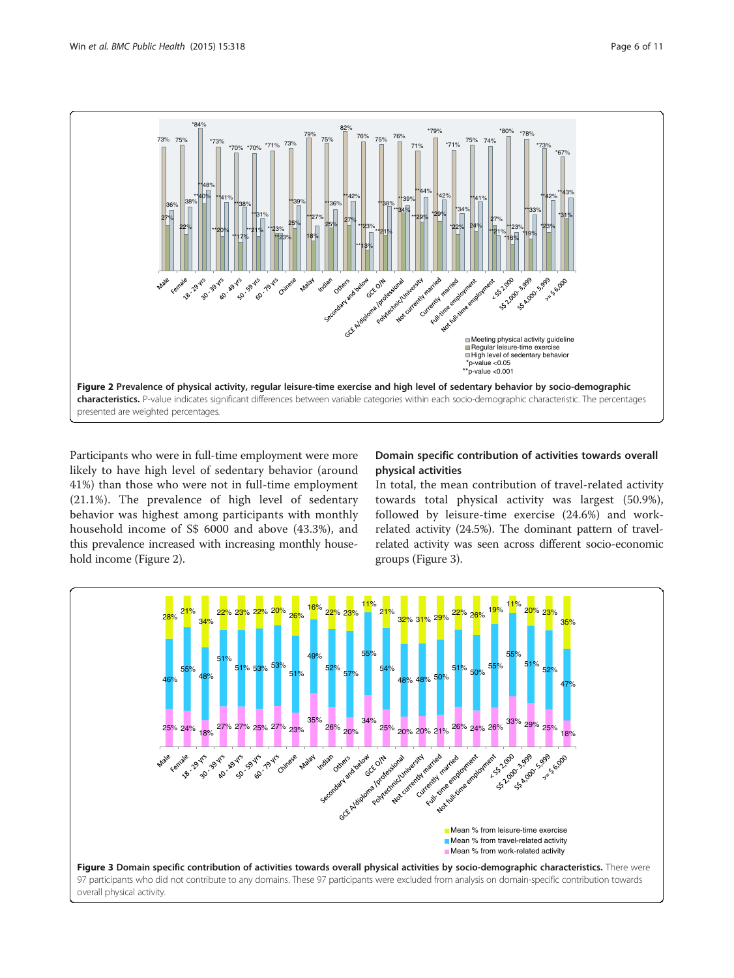<span id="page-5-0"></span>

Participants who were in full-time employment were more likely to have high level of sedentary behavior (around 41%) than those who were not in full-time employment (21.1%). The prevalence of high level of sedentary behavior was highest among participants with monthly household income of S\$ 6000 and above (43.3%), and this prevalence increased with increasing monthly household income (Figure 2).

## Domain specific contribution of activities towards overall physical activities

In total, the mean contribution of travel-related activity towards total physical activity was largest (50.9%), followed by leisure-time exercise (24.6%) and workrelated activity (24.5%). The dominant pattern of travelrelated activity was seen across different socio-economic groups (Figure 3).

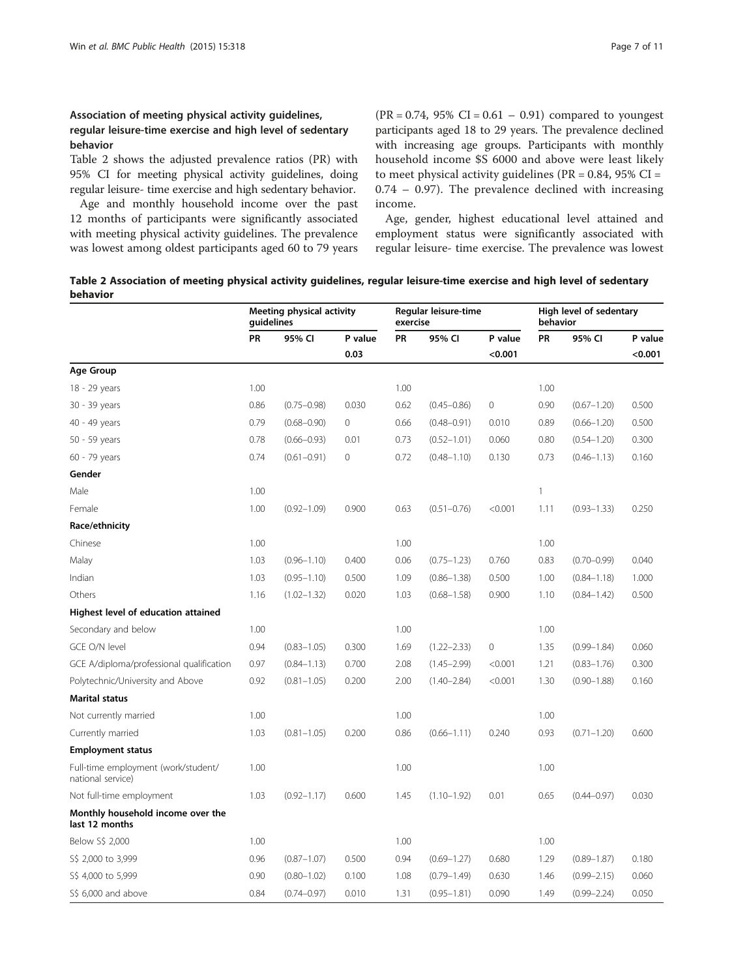## <span id="page-6-0"></span>Association of meeting physical activity guidelines, regular leisure-time exercise and high level of sedentary behavior

Table 2 shows the adjusted prevalence ratios (PR) with 95% CI for meeting physical activity guidelines, doing regular leisure- time exercise and high sedentary behavior.

Age and monthly household income over the past 12 months of participants were significantly associated with meeting physical activity guidelines. The prevalence was lowest among oldest participants aged 60 to 79 years  $(PR = 0.74, 95\% \text{ CI} = 0.61 - 0.91)$  compared to youngest participants aged 18 to 29 years. The prevalence declined with increasing age groups. Participants with monthly household income \$S 6000 and above were least likely to meet physical activity guidelines ( $PR = 0.84$ ,  $95\%$  CI = 0.74 – 0.97). The prevalence declined with increasing income.

Age, gender, highest educational level attained and employment status were significantly associated with regular leisure- time exercise. The prevalence was lowest

Table 2 Association of meeting physical activity guidelines, regular leisure-time exercise and high level of sedentary behavior

|                                                          | Meeting physical activity<br>guidelines |                 |                 | Regular leisure-time<br>exercise |                 |                    | High level of sedentary<br>behavior |                 |                    |
|----------------------------------------------------------|-----------------------------------------|-----------------|-----------------|----------------------------------|-----------------|--------------------|-------------------------------------|-----------------|--------------------|
|                                                          | <b>PR</b>                               | 95% CI          | P value<br>0.03 | <b>PR</b>                        | 95% CI          | P value<br>< 0.001 | PR                                  | 95% CI          | P value<br>< 0.001 |
|                                                          |                                         |                 |                 |                                  |                 |                    |                                     |                 |                    |
| <b>Age Group</b>                                         |                                         |                 |                 |                                  |                 |                    |                                     |                 |                    |
| 18 - 29 years                                            | 1.00                                    |                 |                 | 1.00                             |                 |                    | 1.00                                |                 |                    |
| 30 - 39 years                                            | 0.86                                    | $(0.75 - 0.98)$ | 0.030           | 0.62                             | $(0.45 - 0.86)$ | 0                  | 0.90                                | $(0.67 - 1.20)$ | 0.500              |
| 40 - 49 years                                            | 0.79                                    | $(0.68 - 0.90)$ | $\circ$         | 0.66                             | $(0.48 - 0.91)$ | 0.010              | 0.89                                | $(0.66 - 1.20)$ | 0.500              |
| 50 - 59 years                                            | 0.78                                    | $(0.66 - 0.93)$ | 0.01            | 0.73                             | $(0.52 - 1.01)$ | 0.060              | 0.80                                | $(0.54 - 1.20)$ | 0.300              |
| 60 - 79 years                                            | 0.74                                    | $(0.61 - 0.91)$ | $\mathbf{0}$    | 0.72                             | $(0.48 - 1.10)$ | 0.130              | 0.73                                | $(0.46 - 1.13)$ | 0.160              |
| Gender                                                   |                                         |                 |                 |                                  |                 |                    |                                     |                 |                    |
| Male                                                     | 1.00                                    |                 |                 |                                  |                 |                    | 1                                   |                 |                    |
| Female                                                   | 1.00                                    | $(0.92 - 1.09)$ | 0.900           | 0.63                             | $(0.51 - 0.76)$ | < 0.001            | 1.11                                | $(0.93 - 1.33)$ | 0.250              |
| Race/ethnicity                                           |                                         |                 |                 |                                  |                 |                    |                                     |                 |                    |
| Chinese                                                  | 1.00                                    |                 |                 | 1.00                             |                 |                    | 1.00                                |                 |                    |
| Malay                                                    | 1.03                                    | $(0.96 - 1.10)$ | 0.400           | 0.06                             | $(0.75 - 1.23)$ | 0.760              | 0.83                                | $(0.70 - 0.99)$ | 0.040              |
| Indian                                                   | 1.03                                    | $(0.95 - 1.10)$ | 0.500           | 1.09                             | $(0.86 - 1.38)$ | 0.500              | 1.00                                | $(0.84 - 1.18)$ | 1.000              |
| Others                                                   | 1.16                                    | $(1.02 - 1.32)$ | 0.020           | 1.03                             | $(0.68 - 1.58)$ | 0.900              | 1.10                                | $(0.84 - 1.42)$ | 0.500              |
| Highest level of education attained                      |                                         |                 |                 |                                  |                 |                    |                                     |                 |                    |
| Secondary and below                                      | 1.00                                    |                 |                 | 1.00                             |                 |                    | 1.00                                |                 |                    |
| GCE O/N level                                            | 0.94                                    | $(0.83 - 1.05)$ | 0.300           | 1.69                             | $(1.22 - 2.33)$ | 0                  | 1.35                                | $(0.99 - 1.84)$ | 0.060              |
| GCE A/diploma/professional qualification                 | 0.97                                    | $(0.84 - 1.13)$ | 0.700           | 2.08                             | $(1.45 - 2.99)$ | < 0.001            | 1.21                                | $(0.83 - 1.76)$ | 0.300              |
| Polytechnic/University and Above                         | 0.92                                    | $(0.81 - 1.05)$ | 0.200           | 2.00                             | $(1.40 - 2.84)$ | < 0.001            | 1.30                                | $(0.90 - 1.88)$ | 0.160              |
| <b>Marital status</b>                                    |                                         |                 |                 |                                  |                 |                    |                                     |                 |                    |
| Not currently married                                    | 1.00                                    |                 |                 | 1.00                             |                 |                    | 1.00                                |                 |                    |
| Currently married                                        | 1.03                                    | $(0.81 - 1.05)$ | 0.200           | 0.86                             | $(0.66 - 1.11)$ | 0.240              | 0.93                                | $(0.71 - 1.20)$ | 0.600              |
| <b>Employment status</b>                                 |                                         |                 |                 |                                  |                 |                    |                                     |                 |                    |
| Full-time employment (work/student/<br>national service) | 1.00                                    |                 |                 | 1.00                             |                 |                    | 1.00                                |                 |                    |
| Not full-time employment                                 | 1.03                                    | $(0.92 - 1.17)$ | 0.600           | 1.45                             | $(1.10 - 1.92)$ | 0.01               | 0.65                                | $(0.44 - 0.97)$ | 0.030              |
| Monthly household income over the<br>last 12 months      |                                         |                 |                 |                                  |                 |                    |                                     |                 |                    |
| Below S\$ 2,000                                          | 1.00                                    |                 |                 | 1.00                             |                 |                    | 1.00                                |                 |                    |
| S\$ 2,000 to 3,999                                       | 0.96                                    | $(0.87 - 1.07)$ | 0.500           | 0.94                             | $(0.69 - 1.27)$ | 0.680              | 1.29                                | $(0.89 - 1.87)$ | 0.180              |
| S\$ 4,000 to 5,999                                       | 0.90                                    | $(0.80 - 1.02)$ | 0.100           | 1.08                             | $(0.79 - 1.49)$ | 0.630              | 1.46                                | $(0.99 - 2.15)$ | 0.060              |
| S\$ 6,000 and above                                      | 0.84                                    | $(0.74 - 0.97)$ | 0.010           | 1.31                             | $(0.95 - 1.81)$ | 0.090              | 1.49                                | $(0.99 - 2.24)$ | 0.050              |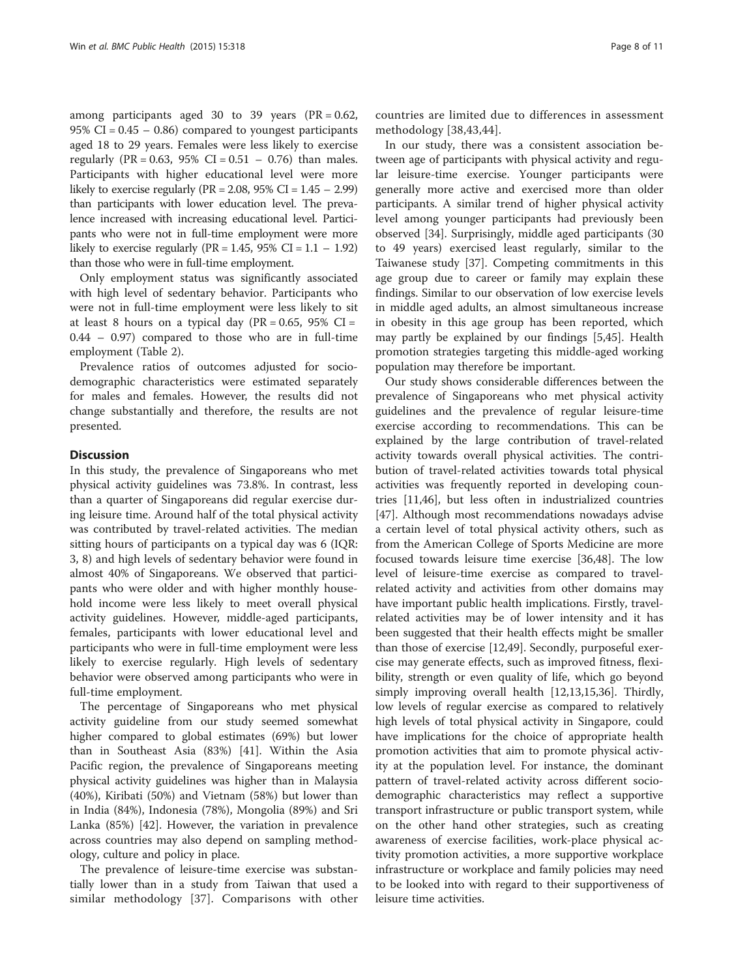among participants aged 30 to 39 years ( $PR = 0.62$ ), 95% CI =  $0.45 - 0.86$ ) compared to youngest participants aged 18 to 29 years. Females were less likely to exercise regularly (PR = 0.63, 95% CI = 0.51 – 0.76) than males. Participants with higher educational level were more likely to exercise regularly ( $PR = 2.08$ ,  $95\%$  CI = 1.45 – 2.99) than participants with lower education level. The prevalence increased with increasing educational level. Participants who were not in full-time employment were more likely to exercise regularly (PR = 1.45,  $95\%$  CI = 1.1 – 1.92) than those who were in full-time employment.

Only employment status was significantly associated with high level of sedentary behavior. Participants who were not in full-time employment were less likely to sit at least 8 hours on a typical day ( $PR = 0.65$ ,  $95\%$  CI = 0.44 – 0.97) compared to those who are in full-time employment (Table [2\)](#page-6-0).

Prevalence ratios of outcomes adjusted for sociodemographic characteristics were estimated separately for males and females. However, the results did not change substantially and therefore, the results are not presented.

## **Discussion**

In this study, the prevalence of Singaporeans who met physical activity guidelines was 73.8%. In contrast, less than a quarter of Singaporeans did regular exercise during leisure time. Around half of the total physical activity was contributed by travel-related activities. The median sitting hours of participants on a typical day was 6 (IQR: 3, 8) and high levels of sedentary behavior were found in almost 40% of Singaporeans. We observed that participants who were older and with higher monthly household income were less likely to meet overall physical activity guidelines. However, middle-aged participants, females, participants with lower educational level and participants who were in full-time employment were less likely to exercise regularly. High levels of sedentary behavior were observed among participants who were in full-time employment.

The percentage of Singaporeans who met physical activity guideline from our study seemed somewhat higher compared to global estimates (69%) but lower than in Southeast Asia (83%) [\[41](#page-9-0)]. Within the Asia Pacific region, the prevalence of Singaporeans meeting physical activity guidelines was higher than in Malaysia (40%), Kiribati (50%) and Vietnam (58%) but lower than in India (84%), Indonesia (78%), Mongolia (89%) and Sri Lanka (85%) [\[42\]](#page-10-0). However, the variation in prevalence across countries may also depend on sampling methodology, culture and policy in place.

The prevalence of leisure-time exercise was substantially lower than in a study from Taiwan that used a similar methodology [[37\]](#page-9-0). Comparisons with other

countries are limited due to differences in assessment methodology [[38](#page-9-0),[43,44](#page-10-0)].

In our study, there was a consistent association between age of participants with physical activity and regular leisure-time exercise. Younger participants were generally more active and exercised more than older participants. A similar trend of higher physical activity level among younger participants had previously been observed [[34\]](#page-9-0). Surprisingly, middle aged participants (30 to 49 years) exercised least regularly, similar to the Taiwanese study [[37](#page-9-0)]. Competing commitments in this age group due to career or family may explain these findings. Similar to our observation of low exercise levels in middle aged adults, an almost simultaneous increase in obesity in this age group has been reported, which may partly be explained by our findings [\[5](#page-9-0),[45](#page-10-0)]. Health promotion strategies targeting this middle-aged working population may therefore be important.

Our study shows considerable differences between the prevalence of Singaporeans who met physical activity guidelines and the prevalence of regular leisure-time exercise according to recommendations. This can be explained by the large contribution of travel-related activity towards overall physical activities. The contribution of travel-related activities towards total physical activities was frequently reported in developing countries [[11](#page-9-0),[46](#page-10-0)], but less often in industrialized countries [[47\]](#page-10-0). Although most recommendations nowadays advise a certain level of total physical activity others, such as from the American College of Sports Medicine are more focused towards leisure time exercise [[36](#page-9-0),[48](#page-10-0)]. The low level of leisure-time exercise as compared to travelrelated activity and activities from other domains may have important public health implications. Firstly, travelrelated activities may be of lower intensity and it has been suggested that their health effects might be smaller than those of exercise [[12,](#page-9-0)[49\]](#page-10-0). Secondly, purposeful exercise may generate effects, such as improved fitness, flexibility, strength or even quality of life, which go beyond simply improving overall health [[12,13,15,36\]](#page-9-0). Thirdly, low levels of regular exercise as compared to relatively high levels of total physical activity in Singapore, could have implications for the choice of appropriate health promotion activities that aim to promote physical activity at the population level. For instance, the dominant pattern of travel-related activity across different sociodemographic characteristics may reflect a supportive transport infrastructure or public transport system, while on the other hand other strategies, such as creating awareness of exercise facilities, work-place physical activity promotion activities, a more supportive workplace infrastructure or workplace and family policies may need to be looked into with regard to their supportiveness of leisure time activities.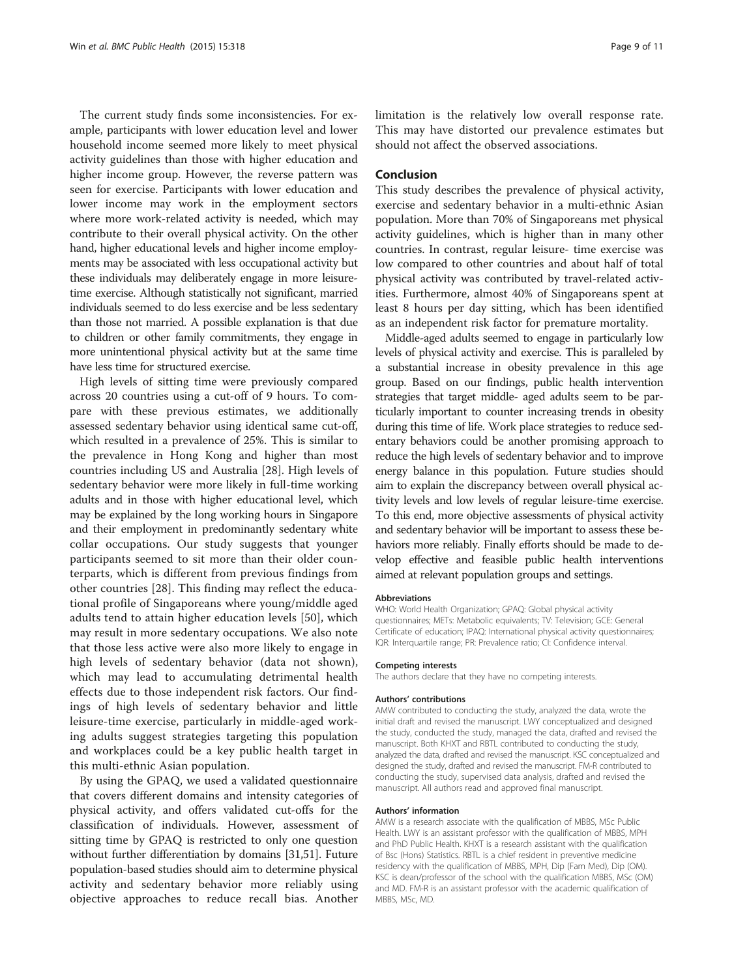The current study finds some inconsistencies. For example, participants with lower education level and lower household income seemed more likely to meet physical activity guidelines than those with higher education and higher income group. However, the reverse pattern was seen for exercise. Participants with lower education and lower income may work in the employment sectors where more work-related activity is needed, which may contribute to their overall physical activity. On the other hand, higher educational levels and higher income employments may be associated with less occupational activity but these individuals may deliberately engage in more leisuretime exercise. Although statistically not significant, married individuals seemed to do less exercise and be less sedentary than those not married. A possible explanation is that due to children or other family commitments, they engage in more unintentional physical activity but at the same time have less time for structured exercise.

High levels of sitting time were previously compared across 20 countries using a cut-off of 9 hours. To compare with these previous estimates, we additionally assessed sedentary behavior using identical same cut-off, which resulted in a prevalence of 25%. This is similar to the prevalence in Hong Kong and higher than most countries including US and Australia [[28](#page-9-0)]. High levels of sedentary behavior were more likely in full-time working adults and in those with higher educational level, which may be explained by the long working hours in Singapore and their employment in predominantly sedentary white collar occupations. Our study suggests that younger participants seemed to sit more than their older counterparts, which is different from previous findings from other countries [\[28](#page-9-0)]. This finding may reflect the educational profile of Singaporeans where young/middle aged adults tend to attain higher education levels [[50](#page-10-0)], which may result in more sedentary occupations. We also note that those less active were also more likely to engage in high levels of sedentary behavior (data not shown), which may lead to accumulating detrimental health effects due to those independent risk factors. Our findings of high levels of sedentary behavior and little leisure-time exercise, particularly in middle-aged working adults suggest strategies targeting this population and workplaces could be a key public health target in this multi-ethnic Asian population.

By using the GPAQ, we used a validated questionnaire that covers different domains and intensity categories of physical activity, and offers validated cut-offs for the classification of individuals. However, assessment of sitting time by GPAQ is restricted to only one question without further differentiation by domains [\[31](#page-9-0)[,51\]](#page-10-0). Future population-based studies should aim to determine physical activity and sedentary behavior more reliably using objective approaches to reduce recall bias. Another

limitation is the relatively low overall response rate. This may have distorted our prevalence estimates but should not affect the observed associations.

## Conclusion

This study describes the prevalence of physical activity, exercise and sedentary behavior in a multi-ethnic Asian population. More than 70% of Singaporeans met physical activity guidelines, which is higher than in many other countries. In contrast, regular leisure- time exercise was low compared to other countries and about half of total physical activity was contributed by travel-related activities. Furthermore, almost 40% of Singaporeans spent at least 8 hours per day sitting, which has been identified as an independent risk factor for premature mortality.

Middle-aged adults seemed to engage in particularly low levels of physical activity and exercise. This is paralleled by a substantial increase in obesity prevalence in this age group. Based on our findings, public health intervention strategies that target middle- aged adults seem to be particularly important to counter increasing trends in obesity during this time of life. Work place strategies to reduce sedentary behaviors could be another promising approach to reduce the high levels of sedentary behavior and to improve energy balance in this population. Future studies should aim to explain the discrepancy between overall physical activity levels and low levels of regular leisure-time exercise. To this end, more objective assessments of physical activity and sedentary behavior will be important to assess these behaviors more reliably. Finally efforts should be made to develop effective and feasible public health interventions aimed at relevant population groups and settings.

#### Abbreviations

WHO: World Health Organization; GPAQ: Global physical activity questionnaires; METs: Metabolic equivalents; TV: Television; GCE: General Certificate of education; IPAQ: International physical activity questionnaires; IQR: Interquartile range; PR: Prevalence ratio; CI: Confidence interval.

#### Competing interests

The authors declare that they have no competing interests.

#### Authors' contributions

AMW contributed to conducting the study, analyzed the data, wrote the initial draft and revised the manuscript. LWY conceptualized and designed the study, conducted the study, managed the data, drafted and revised the manuscript. Both KHXT and RBTL contributed to conducting the study, analyzed the data, drafted and revised the manuscript. KSC conceptualized and designed the study, drafted and revised the manuscript. FM-R contributed to conducting the study, supervised data analysis, drafted and revised the manuscript. All authors read and approved final manuscript.

#### Authors' information

AMW is a research associate with the qualification of MBBS, MSc Public Health. LWY is an assistant professor with the qualification of MBBS, MPH and PhD Public Health. KHXT is a research assistant with the qualification of Bsc (Hons) Statistics. RBTL is a chief resident in preventive medicine residency with the qualification of MBBS, MPH, Dip (Fam Med), Dip (OM). KSC is dean/professor of the school with the qualification MBBS, MSc (OM) and MD. FM-R is an assistant professor with the academic qualification of MBBS, MSc, MD.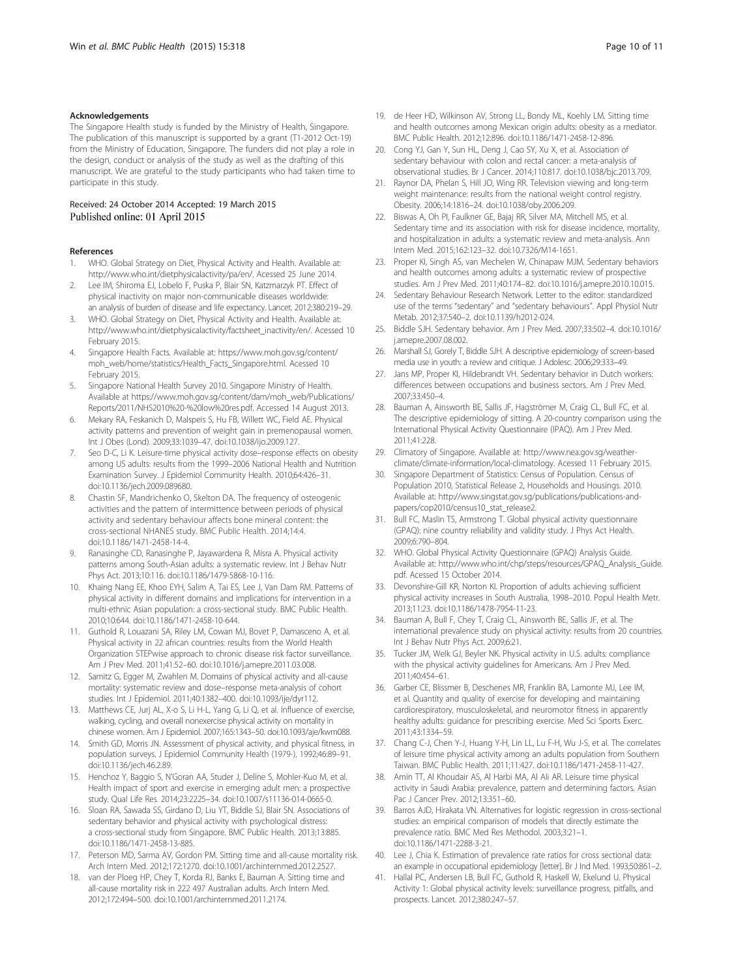#### <span id="page-9-0"></span>Acknowledgements

The Singapore Health study is funded by the Ministry of Health, Singapore. The publication of this manuscript is supported by a grant (T1-2012 Oct-19) from the Ministry of Education, Singapore. The funders did not play a role in the design, conduct or analysis of the study as well as the drafting of this manuscript. We are grateful to the study participants who had taken time to participate in this study.

#### Received: 24 October 2014 Accepted: 19 March 2015 Published online: 01 April 2015

#### References

- 1. WHO. Global Strategy on Diet, Physical Activity and Health. Available at: [http://www.who.int/dietphysicalactivity/pa/en/.](http://www.who.int/dietphysicalactivity/pa/en/) Acessed 25 June 2014.
- 2. Lee IM, Shiroma EJ, Lobelo F, Puska P, Blair SN, Katzmarzyk PT. Effect of physical inactivity on major non-communicable diseases worldwide: an analysis of burden of disease and life expectancy. Lancet. 2012;380:219–29.
- WHO. Global Strategy on Diet, Physical Activity and Health. Available at: [http://www.who.int/dietphysicalactivity/factsheet\\_inactivity/en/](http://www.who.int/dietphysicalactivity/factsheet_inactivity/en/). Acessed 10 February 2015.
- 4. Singapore Health Facts. Available at: [https://www.moh.gov.sg/content/](https://www.moh.gov.sg/content/moh_web/home/statistics/Health_Facts_Singapore.html) [moh\\_web/home/statistics/Health\\_Facts\\_Singapore.html.](https://www.moh.gov.sg/content/moh_web/home/statistics/Health_Facts_Singapore.html) Acessed 10 February 2015.
- 5. Singapore National Health Survey 2010. Singapore Ministry of Health. Available at [https://www.moh.gov.sg/content/dam/moh\\_web/Publications/](https://www.moh.gov.sg/content/dam/moh_web/Publications/Reports/2011/NHS2010%20-%20low%20res.pdf) [Reports/2011/NHS2010%20-%20low%20res.pdf.](https://www.moh.gov.sg/content/dam/moh_web/Publications/Reports/2011/NHS2010%20-%20low%20res.pdf) Accessed 14 August 2013.
- 6. Mekary RA, Feskanich D, Malspeis S, Hu FB, Willett WC, Field AE. Physical activity patterns and prevention of weight gain in premenopausal women. Int J Obes (Lond). 2009;33:1039–47. doi:10.1038/ijo.2009.127.
- 7. Seo D-C, Li K. Leisure-time physical activity dose–response effects on obesity among US adults: results from the 1999–2006 National Health and Nutrition Examination Survey. J Epidemiol Community Health. 2010;64:426–31. doi:10.1136/jech.2009.089680.
- 8. Chastin SF, Mandrichenko O, Skelton DA. The frequency of osteogenic activities and the pattern of intermittence between periods of physical activity and sedentary behaviour affects bone mineral content: the cross-sectional NHANES study. BMC Public Health. 2014;14:4. doi:10.1186/1471-2458-14-4.
- 9. Ranasinghe CD, Ranasinghe P, Jayawardena R, Misra A. Physical activity patterns among South-Asian adults: a systematic review. Int J Behav Nutr Phys Act. 2013;10:116. doi:10.1186/1479-5868-10-116.
- 10. Khaing Nang EE, Khoo EYH, Salim A, Tai ES, Lee J, Van Dam RM. Patterns of physical activity in different domains and implications for intervention in a multi-ethnic Asian population: a cross-sectional study. BMC Public Health. 2010;10:644. doi:10.1186/1471-2458-10-644.
- 11. Guthold R, Louazani SA, Riley LM, Cowan MJ, Bovet P, Damasceno A, et al. Physical activity in 22 african countries: results from the World Health Organization STEPwise approach to chronic disease risk factor surveillance. Am J Prev Med. 2011;41:52–60. doi:10.1016/j.amepre.2011.03.008.
- 12. Samitz G, Egger M, Zwahlen M. Domains of physical activity and all-cause mortality: systematic review and dose–response meta-analysis of cohort studies. Int J Epidemiol. 2011;40:1382–400. doi:10.1093/ije/dyr112.
- 13. Matthews CE, Jurj AL, X-o S, Li H-L, Yang G, Li Q, et al. Influence of exercise, walking, cycling, and overall nonexercise physical activity on mortality in chinese women. Am J Epidemiol. 2007;165:1343–50. doi:10.1093/aje/kwm088.
- 14. Smith GD, Morris JN. Assessment of physical activity, and physical fitness, in population surveys. J Epidemiol Community Health (1979-). 1992;46:89–91. doi:10.1136/jech.46.2.89.
- 15. Henchoz Y, Baggio S, N'Goran AA, Studer J, Deline S, Mohler-Kuo M, et al. Health impact of sport and exercise in emerging adult men: a prospective study. Qual Life Res. 2014;23:2225–34. doi:10.1007/s11136-014-0665-0.
- 16. Sloan RA, Sawada SS, Girdano D, Liu YT, Biddle SJ, Blair SN. Associations of sedentary behavior and physical activity with psychological distress: a cross-sectional study from Singapore. BMC Public Health. 2013;13:885. doi:10.1186/1471-2458-13-885.
- 17. Peterson MD, Sarma AV, Gordon PM. Sitting time and all-cause mortality risk. Arch Intern Med. 2012;172:1270. doi:10.1001/archinternmed.2012.2527.
- 18. van der Ploeg HP, Chey T, Korda RJ, Banks E, Bauman A. Sitting time and all-cause mortality risk in 222 497 Australian adults. Arch Intern Med. 2012;172:494–500. doi:10.1001/archinternmed.2011.2174.
- 19. de Heer HD, Wilkinson AV, Strong LL, Bondy ML, Koehly LM. Sitting time and health outcomes among Mexican origin adults: obesity as a mediator. BMC Public Health. 2012;12:896. doi:10.1186/1471-2458-12-896.
- 20. Cong YJ, Gan Y, Sun HL, Deng J, Cao SY, Xu X, et al. Association of sedentary behaviour with colon and rectal cancer: a meta-analysis of observational studies. Br J Cancer. 2014;110:817. doi:10.1038/bjc.2013.709.
- 21. Raynor DA, Phelan S, Hill JO, Wing RR. Television viewing and long-term weight maintenance: results from the national weight control registry. Obesity. 2006;14:1816–24. doi:10.1038/oby.2006.209.
- 22. Biswas A, Oh PI, Faulkner GE, Bajaj RR, Silver MA, Mitchell MS, et al. Sedentary time and its association with risk for disease incidence, mortality, and hospitalization in adults: a systematic review and meta-analysis. Ann Intern Med. 2015;162:123–32. doi:10.7326/M14-1651.
- 23. Proper KI, Singh AS, van Mechelen W, Chinapaw MJM. Sedentary behaviors and health outcomes among adults: a systematic review of prospective studies. Am J Prev Med. 2011;40:174–82. doi:10.1016/j.amepre.2010.10.015.
- 24. Sedentary Behaviour Research Network. Letter to the editor: standardized use of the terms "sedentary" and "sedentary behaviours". Appl Physiol Nutr Metab. 2012;37:540–2. doi:10.1139/h2012-024.
- 25. Biddle SJH. Sedentary behavior. Am J Prev Med. 2007;33:502–4. doi:10.1016/ j.amepre.2007.08.002.
- 26. Marshall SJ, Gorely T, Biddle SJH. A descriptive epidemiology of screen-based media use in youth: a review and critique. J Adolesc. 2006;29:333–49.
- 27. Jans MP, Proper KI, Hildebrandt VH. Sedentary behavior in Dutch workers: differences between occupations and business sectors. Am J Prev Med. 2007;33:450–4.
- 28. Bauman A, Ainsworth BE, Sallis JF, Hagströmer M, Craig CL, Bull FC, et al. The descriptive epidemiology of sitting. A 20-country comparison using the International Physical Activity Questionnaire (IPAQ). Am J Prev Med. 2011;41:228.
- 29. Climatory of Singapore. Available at: [http://www.nea.gov.sg/weather](http://www.nea.gov.sg/weather-climate/climate-information/local-climatology)[climate/climate-information/local-climatology](http://www.nea.gov.sg/weather-climate/climate-information/local-climatology). Acessed 11 February 2015.
- 30. Singapore Department of Statistics: Census of Population. Census of Population 2010, Statistical Release 2, Households and Housings. 2010. Available at: [http://www.singstat.gov.sg/publications/publications-and](http://www.singstat.gov.sg/publications/publications-and-papers/cop2010/census10_stat_release2)[papers/cop2010/census10\\_stat\\_release2](http://www.singstat.gov.sg/publications/publications-and-papers/cop2010/census10_stat_release2).
- 31. Bull FC, Maslin TS, Armstrong T. Global physical activity questionnaire (GPAQ): nine country reliability and validity study. J Phys Act Health. 2009;6:790–804.
- 32. WHO. Global Physical Activity Questionnaire (GPAQ) Analysis Guide. Available at: [http://www.who.int/chp/steps/resources/GPAQ\\_Analysis\\_Guide.](http://www.who.int/chp/steps/resources/GPAQ_Analysis_Guide.pdf) [pdf](http://www.who.int/chp/steps/resources/GPAQ_Analysis_Guide.pdf). Acessed 15 October 2014.
- 33. Devonshire-Gill KR, Norton KI. Proportion of adults achieving sufficient physical activity increases in South Australia, 1998–2010. Popul Health Metr. 2013;11:23. doi:10.1186/1478-7954-11-23.
- 34. Bauman A, Bull F, Chey T, Craig CL, Ainsworth BE, Sallis JF, et al. The international prevalence study on physical activity: results from 20 countries. Int J Behav Nutr Phys Act. 2009;6:21.
- 35. Tucker JM, Welk GJ, Beyler NK. Physical activity in U.S. adults: compliance with the physical activity guidelines for Americans. Am J Prev Med. 2011;40:454–61.
- 36. Garber CE, Blissmer B, Deschenes MR, Franklin BA, Lamonte MJ, Lee IM, et al. Quantity and quality of exercise for developing and maintaining cardiorespiratory, musculoskeletal, and neuromotor fitness in apparently healthy adults: guidance for prescribing exercise. Med Sci Sports Exerc. 2011;43:1334–59.
- 37. Chang C-J, Chen Y-J, Huang Y-H, Lin LL, Lu F-H, Wu J-S, et al. The correlates of leisure time physical activity among an adults population from Southern Taiwan. BMC Public Health. 2011;11:427. doi:10.1186/1471-2458-11-427.
- 38. Amin TT, Al Khoudair AS, Al Harbi MA, Al Ali AR. Leisure time physical activity in Saudi Arabia: prevalence, pattern and determining factors. Asian Pac J Cancer Prev. 2012;13:351–60.
- 39. Barros AJD, Hirakata VN. Alternatives for logistic regression in cross-sectional studies: an empirical comparison of models that directly estimate the prevalence ratio. BMC Med Res Methodol. 2003;3:21–1. doi:10.1186/1471-2288-3-21.
- 40. Lee J, Chia K. Estimation of prevalence rate ratios for cross sectional data: an example in occupational epidemiology [letter]. Br J Ind Med. 1993;50:861–2.
- 41. Hallal PC, Andersen LB, Bull FC, Guthold R, Haskell W, Ekelund U. Physical Activity 1: Global physical activity levels: surveillance progress, pitfalls, and prospects. Lancet. 2012;380:247–57.